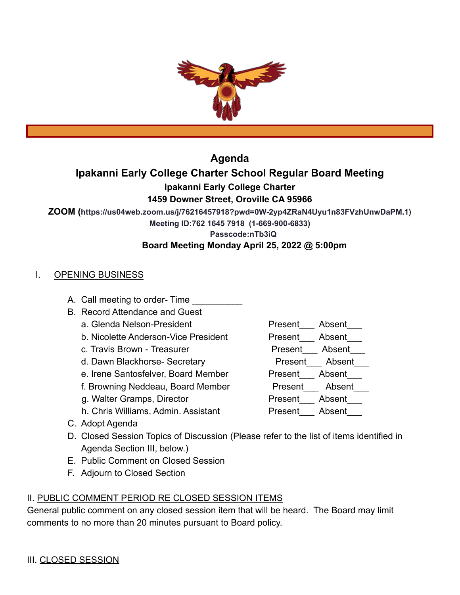

**Agenda**

# **Ipakanni Early College Charter School Regular Board Meeting Ipakanni Early College Charter**

## **1459 Downer Street, Oroville CA 95966**

**ZOOM (https://us04web.zoom.us/j/76216457918?pwd=0W-2yp4ZRaN4Uyu1n83FVzhUnwDaPM.1)**

**Meeting ID:762 1645 7918 (1-669-900-6833)**

**Passcode:nTb3iQ**

## **Board Meeting Monday April 25, 2022 @ 5:00pm**

## I. OPENING BUSINESS

- A. Call meeting to order- Time
- B. Record Attendance and Guest
	- a. Glenda Nelson-President enterstanding Present Absent
	- b. Nicolette Anderson-Vice President Fresent Absent
	- c. Travis Brown Treasurer **Present** Absent
	- d. Dawn Blackhorse- Secretary entitled a Present Absent
	- e. Irene Santosfelver, Board Member Present Absent
	- f. Browning Neddeau, Board Member Present Absent
	- g. Walter Gramps, Director entitled as Present Absent
	- h. Chris Williams, Admin. Assistant Fresent Absent
- C. Adopt Agenda
- D. Closed Session Topics of Discussion (Please refer to the list of items identified in Agenda Section III, below.)
- E. Public Comment on Closed Session
- F. Adjourn to Closed Section

# II. PUBLIC COMMENT PERIOD RE CLOSED SESSION ITEMS

General public comment on any closed session item that will be heard. The Board may limit comments to no more than 20 minutes pursuant to Board policy.

III. CLOSED SESSION

- 
- 
- 
- 
-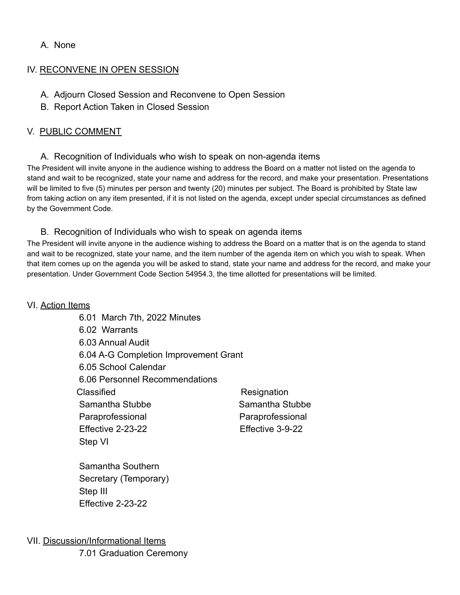## A. None

## IV. RECONVENE IN OPEN SESSION

- A. Adjourn Closed Session and Reconvene to Open Session
- B. Report Action Taken in Closed Session

## V. PUBLIC COMMENT

A. Recognition of Individuals who wish to speak on non-agenda items

The President will invite anyone in the audience wishing to address the Board on a matter not listed on the agenda to stand and wait to be recognized, state your name and address for the record, and make your presentation. Presentations will be limited to five (5) minutes per person and twenty (20) minutes per subject. The Board is prohibited by State law from taking action on any item presented, if it is not listed on the agenda, except under special circumstances as defined by the Government Code.

### B. Recognition of Individuals who wish to speak on agenda items

The President will invite anyone in the audience wishing to address the Board on a matter that is on the agenda to stand and wait to be recognized, state your name, and the item number of the agenda item on which you wish to speak. When that item comes up on the agenda you will be asked to stand, state your name and address for the record, and make your presentation. Under Government Code Section 54954.3, the time allotted for presentations will be limited.

### VI. Action Items

6.01 March 7th, 2022 Minutes 6.02 Warrants 6.03 Annual Audit 6.04 A-G Completion Improvement Grant 6.05 School Calendar 6.06 Personnel Recommendations Classified **Resignation** Samantha Stubbe Samantha Stubbe Paraprofessional Paraprofessional Effective 2-23-22 Effective 3-9-22 Step VI

Samantha Southern Secretary (Temporary) Step III Effective 2-23-22

VII. Discussion/Informational Items

7.01 Graduation Ceremony